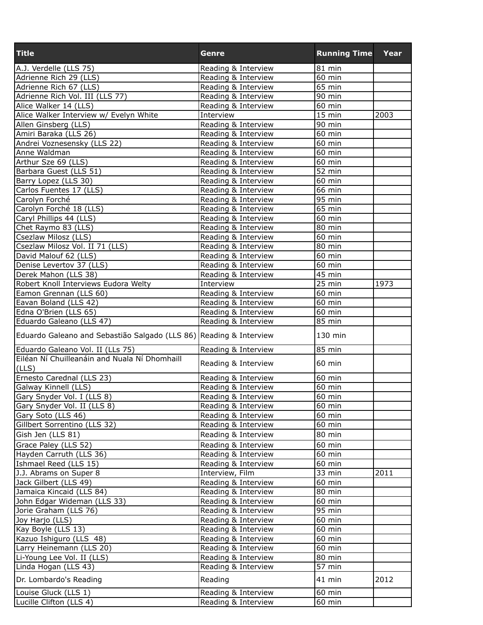| <b>Title</b>                                                       | Genre               | <b>Running Time</b> | Year |
|--------------------------------------------------------------------|---------------------|---------------------|------|
| A.J. Verdelle (LLS 75)                                             | Reading & Interview | 81 min              |      |
| Adrienne Rich 29 (LLS)                                             | Reading & Interview | 60 min              |      |
| Adrienne Rich 67 (LLS)                                             | Reading & Interview | 65 min              |      |
| Adrienne Rich Vol. III (LLS 77)                                    | Reading & Interview | 90 min              |      |
| Alice Walker 14 (LLS)                                              | Reading & Interview | $60$ min            |      |
| Alice Walker Interview w/ Evelyn White                             | Interview           | $\overline{15}$ min | 2003 |
| Allen Ginsberg (LLS)                                               | Reading & Interview | 90 min              |      |
| Amiri Baraka (LLS 26)                                              | Reading & Interview | 60 min              |      |
| Andrei Voznesensky (LLS 22)                                        | Reading & Interview | 60 min              |      |
| Anne Waldman                                                       | Reading & Interview | 60 min              |      |
| Arthur Sze 69 (LLS)                                                | Reading & Interview | 60 min              |      |
| Barbara Guest (LLS 51)                                             | Reading & Interview | 52 min              |      |
| Barry Lopez (LLS 30)                                               | Reading & Interview | 60 min              |      |
| Carlos Fuentes 17 (LLS)                                            | Reading & Interview | 66 min              |      |
| Carolyn Forché                                                     | Reading & Interview | 95 min              |      |
| Carolyn Forché 18 (LLS)                                            | Reading & Interview | 65 min              |      |
| Caryl Phillips 44 (LLS)                                            | Reading & Interview | 60 min              |      |
| Chet Raymo 83 (LLS)                                                | Reading & Interview | 80 min              |      |
| Csezlaw Milosz (LLS)                                               | Reading & Interview | 60 min              |      |
| Csezlaw Milosz Vol. II 71 (LLS)                                    | Reading & Interview | 80 min              |      |
| David Malouf 62 (LLS)                                              | Reading & Interview | 60 min              |      |
| Denise Levertov 37 (LLS)                                           | Reading & Interview | 60 min              |      |
| Derek Mahon (LLS 38)                                               | Reading & Interview | $\overline{4}5$ min |      |
| Robert Knoll Interviews Eudora Welty                               | Interview           | $25$ min            | 1973 |
| Eamon Grennan (LLS 60)                                             | Reading & Interview | 60 min              |      |
| Eavan Boland (LLS 42)                                              | Reading & Interview | 60 min              |      |
| Edna O'Brien (LLS 65)                                              | Reading & Interview | 60 min              |      |
| Eduardo Galeano (LLS 47)                                           | Reading & Interview | 85 min              |      |
| Eduardo Galeano and Sebastião Salgado (LLS 86) Reading & Interview |                     | 130 min             |      |
| Eduardo Galeano Vol. II (LLs 75)                                   | Reading & Interview | 85 min              |      |
| Eiléan Ní Chuilleanáin and Nuala Ní Dhomhaill<br>(LLS)             | Reading & Interview | 60 min              |      |
| Ernesto Carednal (LLS 23)                                          | Reading & Interview | $60$ min            |      |
| Galway Kinnell (LLS)                                               | Reading & Interview | $60$ min            |      |
| Gary Snyder Vol. I (LLS 8)                                         | Reading & Interview | 60 min              |      |
| Gary Snyder Vol. II (LLS 8)                                        | Reading & Interview | 60 min              |      |
| Gary Soto (LLS 46)                                                 | Reading & Interview | 60 min              |      |
| Gillbert Sorrentino (LLS 32)                                       | Reading & Interview | 60 min              |      |
| Gish Jen (LLS 81)                                                  | Reading & Interview | 80 min              |      |
| Grace Paley (LLS 52)                                               | Reading & Interview | 60 min              |      |
| Hayden Carruth (LLS 36)                                            | Reading & Interview | 60 min              |      |
| Ishmael Reed (LLS 15)                                              | Reading & Interview | 60 min              |      |
| J.J. Abrams on Super 8                                             | Interview, Film     | 33 min              | 2011 |
| Jack Gilbert (LLS 49)                                              | Reading & Interview | 60 min              |      |
| Jamaica Kincaid (LLS 84)                                           | Reading & Interview | $80$ min            |      |
| John Edgar Wideman (LLS 33)                                        | Reading & Interview | 60 min              |      |
| Jorie Graham (LLS 76)                                              | Reading & Interview | $95 \text{ min}$    |      |
| Joy Harjo (LLS)                                                    | Reading & Interview | $\overline{60}$ min |      |
|                                                                    | Reading & Interview | 60 min              |      |
| Kay Boyle (LLS 13)<br>Kazuo Ishiguro (LLS 48)                      | Reading & Interview | $60$ min            |      |
| Larry Heinemann (LLS 20)                                           | Reading & Interview | 60 min              |      |
| Li-Young Lee Vol. II (LLS)                                         | Reading & Interview | 80 min              |      |
| Linda Hogan (LLS 43)                                               | Reading & Interview | 57 min              |      |
| Dr. Lombardo's Reading                                             | Reading             | 41 min              | 2012 |
|                                                                    |                     |                     |      |
| Louise Gluck (LLS 1)                                               | Reading & Interview | 60 min              |      |
| Lucille Clifton (LLS 4)                                            | Reading & Interview | 60 min              |      |